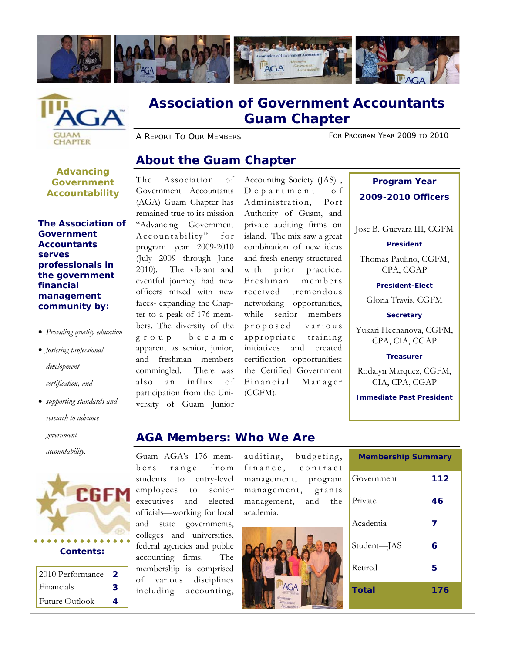



## **Association of Government Accountants Guam Chapter**

A REPORT TO OUR MEMBERS FOR PROGRAM YEAR 2009 TO 2010

#### **About the Guam Chapter Advancing**

**Government Accountability** 

**The Association of Government Accountants serves professionals in the government financial management community by:** 

- *Providing quality education*
- *fostering professional development certification, and*
- *supporting standards and research to advance government*

*accountability.* 



| 2010 Performance  | 2 |
|-------------------|---|
| <b>Financials</b> | 3 |
| Future Outlook    | 4 |

The Association of Government Accountants (AGA) Guam Chapter has remained true to its mission "Advancing Government Accountability" for program year 2009-2010 (July 2009 through June 2010). The vibrant and eventful journey had new officers mixed with new faces- expanding the Chapter to a peak of 176 members. The diversity of the g r o u p b e c a m e apparent as senior, junior, and freshman members commingled. There was also an influx of participation from the University of Guam Junior

Accounting Society (JAS) , Department of Administration, Port Authority of Guam, and private auditing firms on island. The mix saw a great combination of new ideas and fresh energy structured with prior practice. Freshman members received tremendous networking opportunities, while senior members p r o p o s e d v a r i o u s appropriate training initiatives and created certification opportunities: the Certified Government Financial Manager (CGFM).

#### **Program Year 2009-2010 Officers**

Jose B. Guevara III, CGFM

**President** 

Thomas Paulino, CGFM, CPA, CGAP

**President-Elect** 

Gloria Travis, CGFM

**Secretary** 

Yukari Hechanova, CGFM, CPA, CIA, CGAP

**Treasurer** 

Rodalyn Marquez, CGFM, CIA, CPA, CGAP

**Immediate Past President** 

#### **AGA Members: Who We Are**

Guam AGA's 176 members range from students to entry-level employees to senior executives and elected officials—working for local and state governments, colleges and universities, federal agencies and public accounting firms. The membership is comprised of various disciplines including accounting,

auditing, budgeting, finance, contract management, program management, grants management, and the academia.



| <b>Membership Summary</b> |     |  |  |  |
|---------------------------|-----|--|--|--|
| Government                | 112 |  |  |  |
| Private                   | 46  |  |  |  |
| Academia                  | 7   |  |  |  |
| Student-JAS               | 6   |  |  |  |
| Retired                   | 5   |  |  |  |
| <b>Total</b>              | 176 |  |  |  |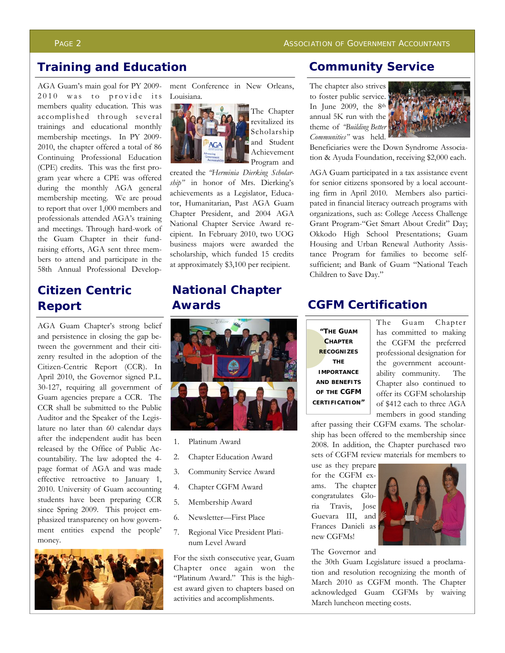#### PAGE 2 ASSOCIATION OF GOVERNMENT ACCOUNTANTS

#### **Training and Education**

AGA Guam's main goal for PY 2009- 2010 was to provide its members quality education. This was accomplished through several trainings and educational monthly membership meetings. In PY 2009- 2010, the chapter offered a total of 86 Continuing Professional Education (CPE) credits. This was the first program year where a CPE was offered during the monthly AGA general membership meeting. We are proud to report that over 1,000 members and professionals attended AGA's training and meetings. Through hard-work of the Guam Chapter in their fundraising efforts, AGA sent three members to attend and participate in the 58th Annual Professional Develop-

## **Citizen Centric Report**

AGA Guam Chapter's strong belief and persistence in closing the gap between the government and their citizenry resulted in the adoption of the Citizen-Centric Report (CCR). In April 2010, the Governor signed P.L. 30-127, requiring all government of Guam agencies prepare a CCR. The CCR shall be submitted to the Public Auditor and the Speaker of the Legislature no later than 60 calendar days after the independent audit has been released by the Office of Public Accountability. The law adopted the 4 page format of AGA and was made effective retroactive to January 1, 2010. University of Guam accounting students have been preparing CCR since Spring 2009. This project emphasized transparency on how government entities expend the people' money.



ment Conference in New Orleans, Louisiana.



The Chapter revitalized its Scholarship **R** and Student Achievement Program and

created the *"Herminia Dierking Scholarship"* in honor of Mrs. Dierking's achievements as a Legislator, Educator, Humanitarian, Past AGA Guam Chapter President, and 2004 AGA National Chapter Service Award recipient. In February 2010, two UOG business majors were awarded the scholarship, which funded 15 credits at approximately \$3,100 per recipient.

#### **National Chapter Awards**



- 1. Platinum Award
- 2. Chapter Education Award
- 3. Community Service Award
- 4. Chapter CGFM Award
- 5. Membership Award
- 6. Newsletter—First Place
- 7. Regional Vice President Platinum Level Award

For the sixth consecutive year, Guam Chapter once again won the "Platinum Award." This is the highest award given to chapters based on activities and accomplishments.

#### **Community Service**

The chapter also strives to foster public service. In June 2009, the  $8<sup>th</sup>$ annual 5K run with the theme of *"Building Better Communities"* was held.



Beneficiaries were the Down Syndrome Association & Ayuda Foundation, receiving \$2,000 each.

AGA Guam participated in a tax assistance event for senior citizens sponsored by a local accounting firm in April 2010. Members also participated in financial literacy outreach programs with organizations, such as: College Access Challenge Grant Program-"Get Smart About Credit" Day; Okkodo High School Presentations; Guam Housing and Urban Renewal Authority Assistance Program for families to become selfsufficient; and Bank of Guam "National Teach Children to Save Day."

#### **CGFM Certification**

**"THE GUAM CHAPTER RECOGNIZES THE IMPORTANCE AND BENEFITS OF THE CGFM CERTIFICATION"** 

The Guam Chapter has committed to making the CGFM the preferred professional designation for the government accountability community. The Chapter also continued to offer its CGFM scholarship of \$412 each to three AGA members in good standing

after passing their CGFM exams. The scholarship has been offered to the membership since 2008. In addition, the Chapter purchased two sets of CGFM review materials for members to

use as they prepare for the CGFM exams. The chapter congratulates Gloria Travis, Jose Guevara III, and Frances Danieli as new CGFMs!

The Governor and

the 30th Guam Legislature issued a proclamation and resolution recognizing the month of March 2010 as CGFM month. The Chapter acknowledged Guam CGFMs by waiving March luncheon meeting costs.

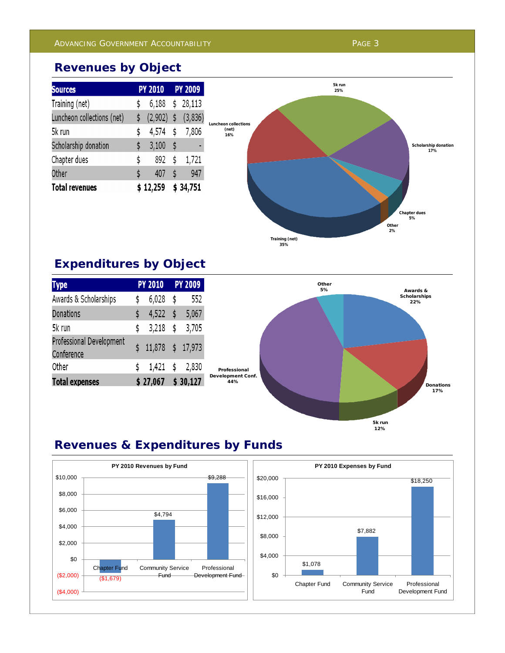## **Revenues by Object**

| <b>Sources</b>             |    | <b>PY 2010</b> | <b>PY 2009</b> |
|----------------------------|----|----------------|----------------|
| Training (net)             | \$ | 6,188          | \$<br>28,113   |
| Luncheon collections (net) |    | (2,902)        | \$<br>(3,836)  |
| 5k run                     | \$ | 4,574          | \$<br>7,806    |
| Scholarship donation       | S  | 3,100          | \$             |
| Chapter dues               | \$ | 892            | \$<br>1,721    |
| Other                      | \$ | 407            | \$<br>947      |
| <b>Total revenues</b>      |    | \$12,259       | \$34,751       |



### **Expenditures by Object**

| Type                                   | <b>PY 2010</b> | <b>PY 2009</b> |
|----------------------------------------|----------------|----------------|
| Awards & Scholarships                  | \$<br>6,028    | \$<br>552      |
| <b>Donations</b>                       | \$<br>4,522    | \$<br>5,067    |
| 5k run                                 | \$<br>3,218    | \$<br>3,705    |
| Professional Development<br>Conference | \$<br>11,878   | \$17,973       |
| Other                                  | \$<br>1,421    | \$<br>2,830    |
| <b>Total expenses</b>                  | \$27,067       | \$30,127       |



# **Revenues & Expenditures by Funds**



**44%**